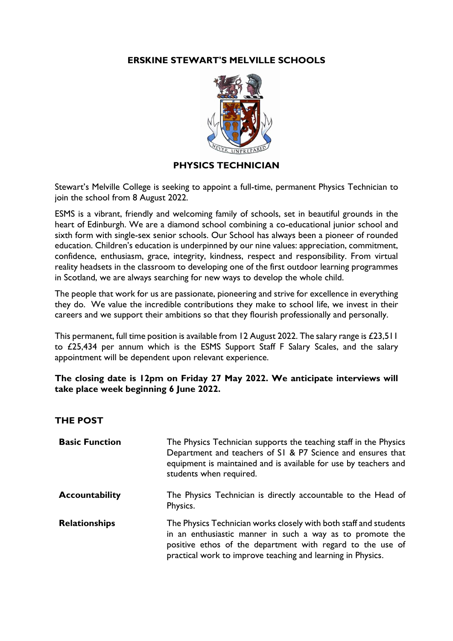# **ERSKINE STEWART'S MELVILLE SCHOOLS**



#### **PHYSICS TECHNICIAN**

Stewart's Melville College is seeking to appoint a full-time, permanent Physics Technician to join the school from 8 August 2022.

ESMS is a vibrant, friendly and welcoming family of schools, set in beautiful grounds in the heart of Edinburgh. We are a diamond school combining a co-educational junior school and sixth form with single-sex senior schools. Our School has always been a pioneer of rounded education. Children's education is underpinned by our nine values: appreciation, commitment, confidence, enthusiasm, grace, integrity, kindness, respect and responsibility. From virtual reality headsets in the classroom to developing one of the first outdoor learning programmes in Scotland, we are always searching for new ways to develop the whole child.

The people that work for us are passionate, pioneering and strive for excellence in everything they do. We value the incredible contributions they make to school life, we invest in their careers and we support their ambitions so that they flourish professionally and personally.

This permanent, full time position is available from 12 August 2022. The salary range is £23,511 to £25,434 per annum which is the ESMS Support Staff F Salary Scales, and the salary appointment will be dependent upon relevant experience.

# **The closing date is 12pm on Friday 27 May 2022. We anticipate interviews will take place week beginning 6 June 2022.**

#### **THE POST**

| <b>Basic Function</b> | The Physics Technician supports the teaching staff in the Physics<br>Department and teachers of S1 & P7 Science and ensures that<br>equipment is maintained and is available for use by teachers and<br>students when required.                             |
|-----------------------|-------------------------------------------------------------------------------------------------------------------------------------------------------------------------------------------------------------------------------------------------------------|
| <b>Accountability</b> | The Physics Technician is directly accountable to the Head of<br>Physics.                                                                                                                                                                                   |
| <b>Relationships</b>  | The Physics Technician works closely with both staff and students<br>in an enthusiastic manner in such a way as to promote the<br>positive ethos of the department with regard to the use of<br>practical work to improve teaching and learning in Physics. |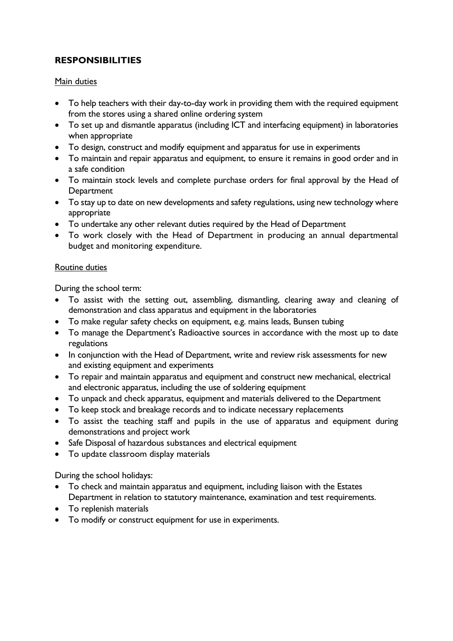# **RESPONSIBILITIES**

#### Main duties

- To help teachers with their day-to-day work in providing them with the required equipment from the stores using a shared online ordering system
- To set up and dismantle apparatus (including ICT and interfacing equipment) in laboratories when appropriate
- To design, construct and modify equipment and apparatus for use in experiments
- To maintain and repair apparatus and equipment, to ensure it remains in good order and in a safe condition
- To maintain stock levels and complete purchase orders for final approval by the Head of **Department**
- To stay up to date on new developments and safety regulations, using new technology where appropriate
- To undertake any other relevant duties required by the Head of Department
- To work closely with the Head of Department in producing an annual departmental budget and monitoring expenditure.

#### Routine duties

During the school term:

- To assist with the setting out, assembling, dismantling, clearing away and cleaning of demonstration and class apparatus and equipment in the laboratories
- To make regular safety checks on equipment, e.g. mains leads, Bunsen tubing
- To manage the Department's Radioactive sources in accordance with the most up to date regulations
- In conjunction with the Head of Department, write and review risk assessments for new and existing equipment and experiments
- To repair and maintain apparatus and equipment and construct new mechanical, electrical and electronic apparatus, including the use of soldering equipment
- To unpack and check apparatus, equipment and materials delivered to the Department
- To keep stock and breakage records and to indicate necessary replacements
- To assist the teaching staff and pupils in the use of apparatus and equipment during demonstrations and project work
- Safe Disposal of hazardous substances and electrical equipment
- To update classroom display materials

During the school holidays:

- To check and maintain apparatus and equipment, including liaison with the Estates Department in relation to statutory maintenance, examination and test requirements.
- To replenish materials
- To modify or construct equipment for use in experiments.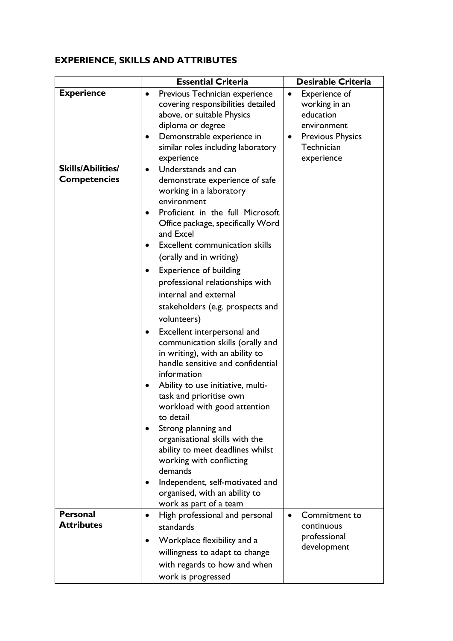# **EXPERIENCE, SKILLS AND ATTRIBUTES**

|                                                 | <b>Essential Criteria</b>                                                                                                                                                                                                                                                                                                                                                                                                                | <b>Desirable Criteria</b>                                                       |
|-------------------------------------------------|------------------------------------------------------------------------------------------------------------------------------------------------------------------------------------------------------------------------------------------------------------------------------------------------------------------------------------------------------------------------------------------------------------------------------------------|---------------------------------------------------------------------------------|
| <b>Experience</b>                               | Previous Technician experience<br>٠<br>covering responsibilities detailed<br>above, or suitable Physics                                                                                                                                                                                                                                                                                                                                  | Experience of<br>$\bullet$<br>working in an<br>education                        |
|                                                 | diploma or degree<br>Demonstrable experience in<br>$\bullet$<br>similar roles including laboratory<br>experience                                                                                                                                                                                                                                                                                                                         | environment<br><b>Previous Physics</b><br>$\bullet$<br>Technician<br>experience |
| <b>Skills/Abilities/</b><br><b>Competencies</b> | Understands and can<br>$\bullet$<br>demonstrate experience of safe<br>working in a laboratory<br>environment<br>Proficient in the full Microsoft<br>$\bullet$<br>Office package, specifically Word<br>and Excel<br><b>Excellent communication skills</b><br>(orally and in writing)<br><b>Experience of building</b><br>professional relationships with<br>internal and external<br>stakeholders (e.g. prospects and                     |                                                                                 |
|                                                 | volunteers)<br>Excellent interpersonal and<br>$\bullet$<br>communication skills (orally and<br>in writing), with an ability to<br>handle sensitive and confidential<br>information<br>Ability to use initiative, multi-<br>٠<br>task and prioritise own<br>workload with good attention<br>to detail<br>Strong planning and<br>organisational skills with the<br>ability to meet deadlines whilst<br>working with conflicting<br>demands |                                                                                 |
|                                                 | Independent, self-motivated and<br>organised, with an ability to<br>work as part of a team                                                                                                                                                                                                                                                                                                                                               |                                                                                 |
| <b>Personal</b><br><b>Attributes</b>            | High professional and personal<br>$\bullet$<br>standards<br>Workplace flexibility and a<br>willingness to adapt to change<br>with regards to how and when<br>work is progressed                                                                                                                                                                                                                                                          | Commitment to<br>continuous<br>professional<br>development                      |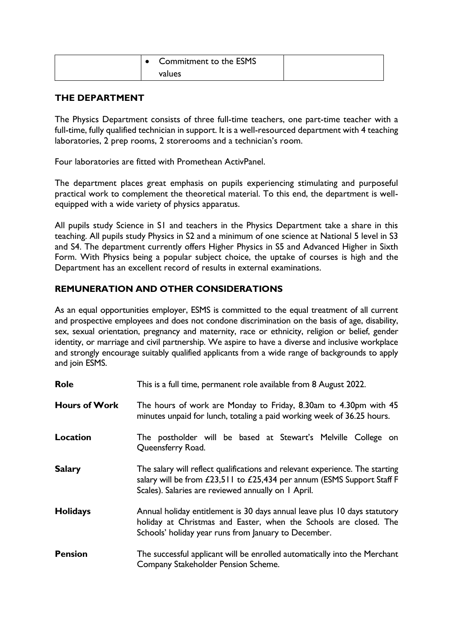|  | <b>Commitment to the ESMS</b> |  |
|--|-------------------------------|--|
|  | values                        |  |

# **THE DEPARTMENT**

The Physics Department consists of three full-time teachers, one part-time teacher with a full-time, fully qualified technician in support. It is a well-resourced department with 4 teaching laboratories, 2 prep rooms, 2 storerooms and a technician's room.

Four laboratories are fitted with Promethean ActivPanel.

The department places great emphasis on pupils experiencing stimulating and purposeful practical work to complement the theoretical material. To this end, the department is wellequipped with a wide variety of physics apparatus.

All pupils study Science in S1 and teachers in the Physics Department take a share in this teaching. All pupils study Physics in S2 and a minimum of one science at National 5 level in S3 and S4. The department currently offers Higher Physics in S5 and Advanced Higher in Sixth Form. With Physics being a popular subject choice, the uptake of courses is high and the Department has an excellent record of results in external examinations.

# **REMUNERATION AND OTHER CONSIDERATIONS**

As an equal opportunities employer, ESMS is committed to the equal treatment of all current and prospective employees and does not condone discrimination on the basis of age, disability, sex, sexual orientation, pregnancy and maternity, race or ethnicity, religion or belief, gender identity, or marriage and civil partnership. We aspire to have a diverse and inclusive workplace and strongly encourage suitably qualified applicants from a wide range of backgrounds to apply and join ESMS.

| <b>Role</b>          | This is a full time, permanent role available from 8 August 2022.                                                                                                                                             |  |  |
|----------------------|---------------------------------------------------------------------------------------------------------------------------------------------------------------------------------------------------------------|--|--|
| <b>Hours of Work</b> | The hours of work are Monday to Friday, 8.30am to 4.30pm with 45<br>minutes unpaid for lunch, totaling a paid working week of 36.25 hours.                                                                    |  |  |
| Location             | The postholder will be based at Stewart's Melville College on<br>Queensferry Road.                                                                                                                            |  |  |
| <b>Salary</b>        | The salary will reflect qualifications and relevant experience. The starting<br>salary will be from £23,511 to £25,434 per annum (ESMS Support Staff F<br>Scales). Salaries are reviewed annually on 1 April. |  |  |
| <b>Holidays</b>      | Annual holiday entitlement is 30 days annual leave plus 10 days statutory<br>holiday at Christmas and Easter, when the Schools are closed. The<br>Schools' holiday year runs from January to December.        |  |  |
| <b>Pension</b>       | The successful applicant will be enrolled automatically into the Merchant<br>Company Stakeholder Pension Scheme.                                                                                              |  |  |